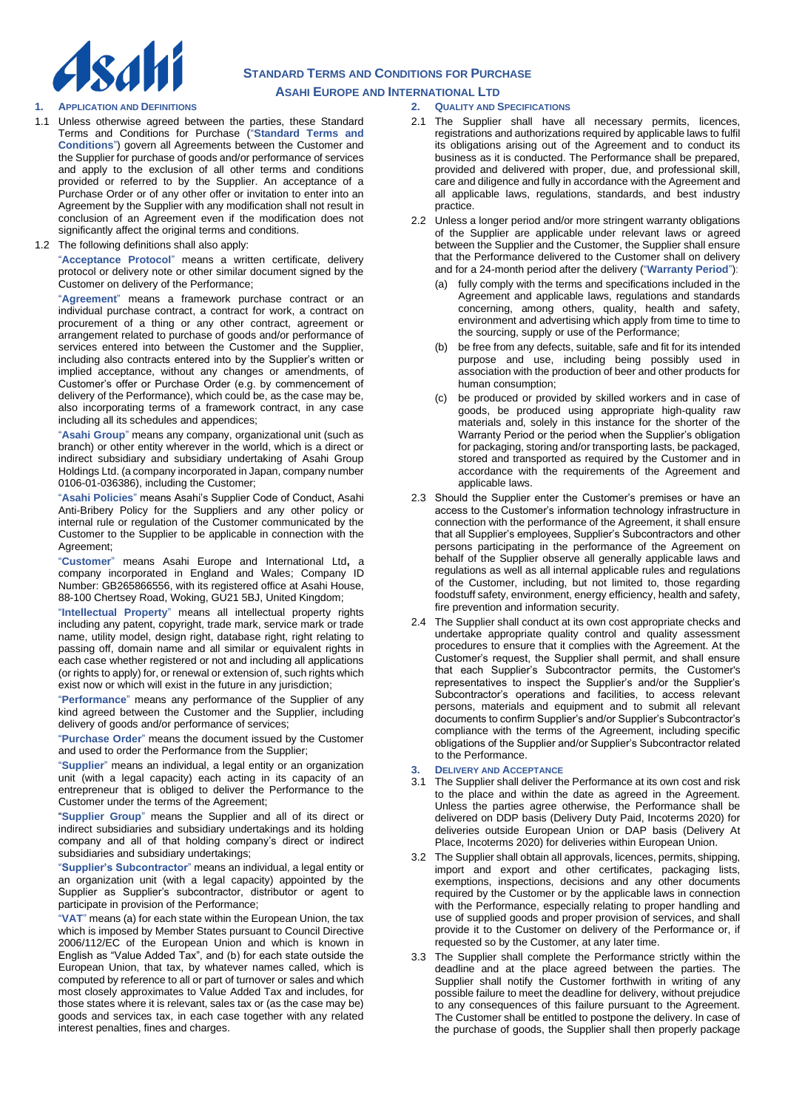

#### **1. APPLICATION AND DEFINITIONS**

- 1.1 Unless otherwise agreed between the parties, these Standard Terms and Conditions for Purchase ("**Standard Terms and Conditions**") govern all Agreements between the Customer and the Supplier for purchase of goods and/or performance of services and apply to the exclusion of all other terms and conditions provided or referred to by the Supplier. An acceptance of a Purchase Order or of any other offer or invitation to enter into an Agreement by the Supplier with any modification shall not result in conclusion of an Agreement even if the modification does not significantly affect the original terms and conditions.
- 1.2 The following definitions shall also apply:

"**Acceptance Protocol**" means a written certificate, delivery protocol or delivery note or other similar document signed by the Customer on delivery of the Performance;

"**Agreement**" means a framework purchase contract or an individual purchase contract, a contract for work, a contract on procurement of a thing or any other contract, agreement or arrangement related to purchase of goods and/or performance of services entered into between the Customer and the Supplier, including also contracts entered into by the Supplier's written or implied acceptance, without any changes or amendments, of Customer's offer or Purchase Order (e.g. by commencement of delivery of the Performance), which could be, as the case may be, also incorporating terms of a framework contract, in any case including all its schedules and appendices;

"**Asahi Group**" means any company, organizational unit (such as branch) or other entity wherever in the world, which is a direct or indirect subsidiary and subsidiary undertaking of Asahi Group Holdings Ltd. (a company incorporated in Japan, company number 0106-01-036386), including the Customer;

"**Asahi Policies**" means Asahi's Supplier Code of Conduct, Asahi Anti-Bribery Policy for the Suppliers and any other policy or internal rule or regulation of the Customer communicated by the Customer to the Supplier to be applicable in connection with the Agreement;

"**Customer**" means Asahi Europe and International Ltd**,** a company incorporated in England and Wales; Company ID Number: GB265866556, with its registered office at Asahi House, 88-100 Chertsey Road, Woking, GU21 5BJ, United Kingdom;

"**Intellectual Property**" means all intellectual property rights including any patent, copyright, trade mark, service mark or trade name, utility model, design right, database right, right relating to passing off, domain name and all similar or equivalent rights in each case whether registered or not and including all applications (or rights to apply) for, or renewal or extension of, such rights which exist now or which will exist in the future in any jurisdiction;

"**Performance**" means any performance of the Supplier of any kind agreed between the Customer and the Supplier, including delivery of goods and/or performance of services;

"**Purchase Order**" means the document issued by the Customer and used to order the Performance from the Supplier;

"**Supplier**" means an individual, a legal entity or an organization unit (with a legal capacity) each acting in its capacity of an entrepreneur that is obliged to deliver the Performance to the Customer under the terms of the Agreement;

"**Supplier Group**" means the Supplier and all of its direct or indirect subsidiaries and subsidiary undertakings and its holding company and all of that holding company's direct or indirect subsidiaries and subsidiary undertakings;

"**Supplier's Subcontractor**" means an individual, a legal entity or an organization unit (with a legal capacity) appointed by the Supplier as Supplier's subcontractor, distributor or agent to participate in provision of the Performance;

"**VAT**" means (a) for each state within the European Union, the tax which is imposed by Member States pursuant to Council Directive 2006/112/EC of the European Union and which is known in English as "Value Added Tax", and (b) for each state outside the European Union, that tax, by whatever names called, which is computed by reference to all or part of turnover or sales and which most closely approximates to Value Added Tax and includes, for those states where it is relevant, sales tax or (as the case may be) goods and services tax, in each case together with any related interest penalties, fines and charges.

#### **2. QUALITY AND SPECIFICATIONS**

- 2.1 The Supplier shall have all necessary permits, licences, registrations and authorizations required by applicable laws to fulfil its obligations arising out of the Agreement and to conduct its business as it is conducted. The Performance shall be prepared, provided and delivered with proper, due, and professional skill, care and diligence and fully in accordance with the Agreement and all applicable laws, regulations, standards, and best industry practice.
- 2.2 Unless a longer period and/or more stringent warranty obligations of the Supplier are applicable under relevant laws or agreed between the Supplier and the Customer, the Supplier shall ensure that the Performance delivered to the Customer shall on delivery and for a 24-month period after the delivery ("**Warranty Period**"):
	- (a) fully comply with the terms and specifications included in the Agreement and applicable laws, regulations and standards concerning, among others, quality, health and safety, environment and advertising which apply from time to time to the sourcing, supply or use of the Performance;
	- (b) be free from any defects, suitable, safe and fit for its intended purpose and use, including being possibly used in association with the production of beer and other products for human consumption;
	- (c) be produced or provided by skilled workers and in case of goods, be produced using appropriate high-quality raw materials and, solely in this instance for the shorter of the Warranty Period or the period when the Supplier's obligation for packaging, storing and/or transporting lasts, be packaged, stored and transported as required by the Customer and in accordance with the requirements of the Agreement and applicable laws.
- 2.3 Should the Supplier enter the Customer's premises or have an access to the Customer's information technology infrastructure in connection with the performance of the Agreement, it shall ensure that all Supplier's employees, Supplier's Subcontractors and other persons participating in the performance of the Agreement on behalf of the Supplier observe all generally applicable laws and regulations as well as all internal applicable rules and regulations of the Customer, including, but not limited to, those regarding foodstuff safety, environment, energy efficiency, health and safety, fire prevention and information security.
- 2.4 The Supplier shall conduct at its own cost appropriate checks and undertake appropriate quality control and quality assessment procedures to ensure that it complies with the Agreement. At the Customer's request, the Supplier shall permit, and shall ensure that each Supplier's Subcontractor permits, the Customer's representatives to inspect the Supplier's and/or the Supplier's Subcontractor's operations and facilities, to access relevant persons, materials and equipment and to submit all relevant documents to confirm Supplier's and/or Supplier's Subcontractor's compliance with the terms of the Agreement, including specific obligations of the Supplier and/or Supplier's Subcontractor related to the Performance.

### **3. DELIVERY AND ACCEPTANCE**

- 3.1 The Supplier shall deliver the Performance at its own cost and risk to the place and within the date as agreed in the Agreement. Unless the parties agree otherwise, the Performance shall be delivered on DDP basis (Delivery Duty Paid, Incoterms 2020) for deliveries outside European Union or DAP basis (Delivery At Place, Incoterms 2020) for deliveries within European Union.
- 3.2 The Supplier shall obtain all approvals, licences, permits, shipping, import and export and other certificates, packaging lists, exemptions, inspections, decisions and any other documents required by the Customer or by the applicable laws in connection with the Performance, especially relating to proper handling and use of supplied goods and proper provision of services, and shall provide it to the Customer on delivery of the Performance or, if requested so by the Customer, at any later time.
- 3.3 The Supplier shall complete the Performance strictly within the deadline and at the place agreed between the parties. The Supplier shall notify the Customer forthwith in writing of any possible failure to meet the deadline for delivery, without prejudice to any consequences of this failure pursuant to the Agreement. The Customer shall be entitled to postpone the delivery. In case of the purchase of goods, the Supplier shall then properly package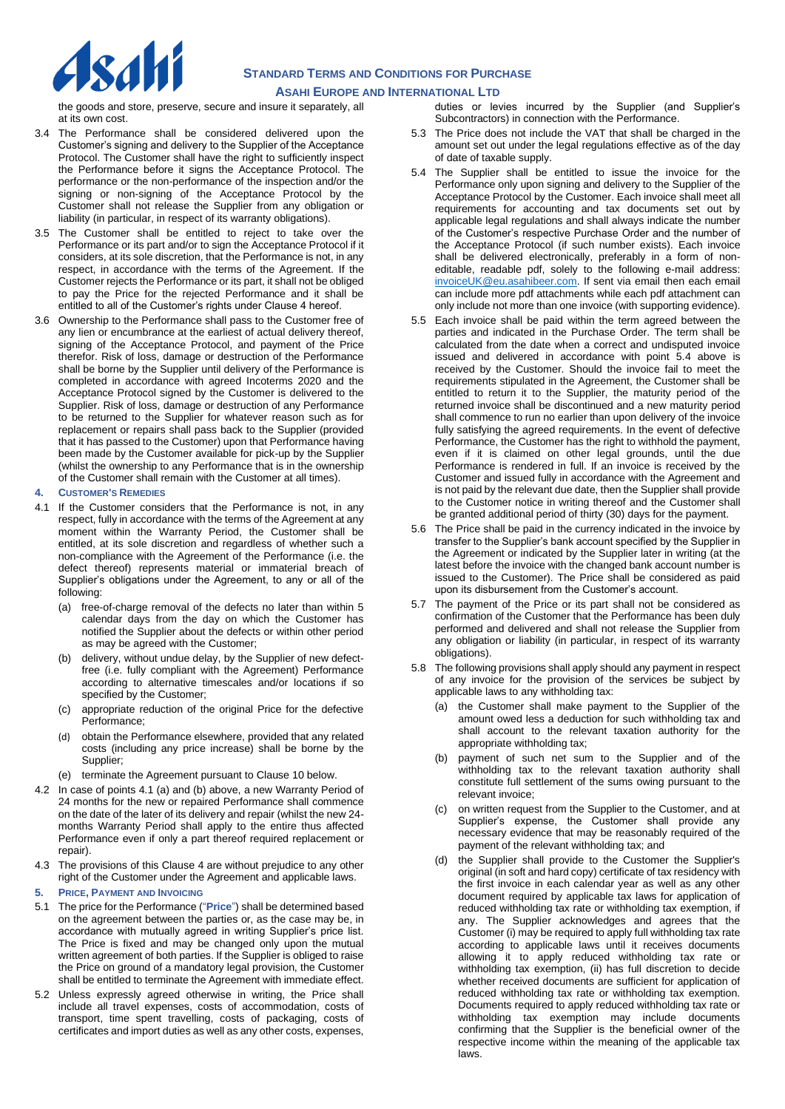

the goods and store, preserve, secure and insure it separately, all at its own cost.

- 3.4 The Performance shall be considered delivered upon the Customer's signing and delivery to the Supplier of the Acceptance Protocol. The Customer shall have the right to sufficiently inspect the Performance before it signs the Acceptance Protocol. The performance or the non-performance of the inspection and/or the signing or non-signing of the Acceptance Protocol by the Customer shall not release the Supplier from any obligation or liability (in particular, in respect of its warranty obligations).
- 3.5 The Customer shall be entitled to reject to take over the Performance or its part and/or to sign the Acceptance Protocol if it considers, at its sole discretion, that the Performance is not, in any respect, in accordance with the terms of the Agreement. If the Customer rejects the Performance or its part, it shall not be obliged to pay the Price for the rejected Performance and it shall be entitled to all of the Customer's rights under Clause 4 hereof.
- 3.6 Ownership to the Performance shall pass to the Customer free of any lien or encumbrance at the earliest of actual delivery thereof, signing of the Acceptance Protocol, and payment of the Price therefor. Risk of loss, damage or destruction of the Performance shall be borne by the Supplier until delivery of the Performance is completed in accordance with agreed Incoterms 2020 and the Acceptance Protocol signed by the Customer is delivered to the Supplier. Risk of loss, damage or destruction of any Performance to be returned to the Supplier for whatever reason such as for replacement or repairs shall pass back to the Supplier (provided that it has passed to the Customer) upon that Performance having been made by the Customer available for pick-up by the Supplier (whilst the ownership to any Performance that is in the ownership of the Customer shall remain with the Customer at all times).

#### **4. CUSTOMER'S REMEDIES**

- 4.1 If the Customer considers that the Performance is not, in any respect, fully in accordance with the terms of the Agreement at any moment within the Warranty Period, the Customer shall be entitled, at its sole discretion and regardless of whether such a non-compliance with the Agreement of the Performance (i.e. the defect thereof) represents material or immaterial breach of Supplier's obligations under the Agreement, to any or all of the following:
	- (a) free-of-charge removal of the defects no later than within 5 calendar days from the day on which the Customer has notified the Supplier about the defects or within other period as may be agreed with the Customer;
	- delivery, without undue delay, by the Supplier of new defectfree (i.e. fully compliant with the Agreement) Performance according to alternative timescales and/or locations if so specified by the Customer;
	- (c) appropriate reduction of the original Price for the defective Performance;
	- (d) obtain the Performance elsewhere, provided that any related costs (including any price increase) shall be borne by the Supplier;
	- (e) terminate the Agreement pursuant to Clause 10 below.
- 4.2 In case of points 4.1 (a) and (b) above, a new Warranty Period of 24 months for the new or repaired Performance shall commence on the date of the later of its delivery and repair (whilst the new 24 months Warranty Period shall apply to the entire thus affected Performance even if only a part thereof required replacement or repair).
- 4.3 The provisions of this Clause 4 are without prejudice to any other right of the Customer under the Agreement and applicable laws.
- **5. PRICE, PAYMENT AND INVOICING**
- 5.1 The price for the Performance ("**Price**") shall be determined based on the agreement between the parties or, as the case may be, in accordance with mutually agreed in writing Supplier's price list. The Price is fixed and may be changed only upon the mutual written agreement of both parties. If the Supplier is obliged to raise the Price on ground of a mandatory legal provision, the Customer shall be entitled to terminate the Agreement with immediate effect.
- 5.2 Unless expressly agreed otherwise in writing, the Price shall include all travel expenses, costs of accommodation, costs of transport, time spent travelling, costs of packaging, costs of certificates and import duties as well as any other costs, expenses,

duties or levies incurred by the Supplier (and Supplier's Subcontractors) in connection with the Performance.

- 5.3 The Price does not include the VAT that shall be charged in the amount set out under the legal regulations effective as of the day of date of taxable supply.
- 5.4 The Supplier shall be entitled to issue the invoice for the Performance only upon signing and delivery to the Supplier of the Acceptance Protocol by the Customer. Each invoice shall meet all requirements for accounting and tax documents set out by applicable legal regulations and shall always indicate the number of the Customer's respective Purchase Order and the number of the Acceptance Protocol (if such number exists). Each invoice shall be delivered electronically, preferably in a form of noneditable, readable pdf, solely to the following e-mail address: [invoiceUK@eu.asahibeer.com.](mailto:invoiceUK@eu.asahibeer.com) If sent via email then each email can include more pdf attachments while each pdf attachment can only include not more than one invoice (with supporting evidence).
- 5.5 Each invoice shall be paid within the term agreed between the parties and indicated in the Purchase Order. The term shall be calculated from the date when a correct and undisputed invoice issued and delivered in accordance with point 5.4 above is received by the Customer. Should the invoice fail to meet the requirements stipulated in the Agreement, the Customer shall be entitled to return it to the Supplier, the maturity period of the returned invoice shall be discontinued and a new maturity period shall commence to run no earlier than upon delivery of the invoice fully satisfying the agreed requirements. In the event of defective Performance, the Customer has the right to withhold the payment, even if it is claimed on other legal grounds, until the due Performance is rendered in full. If an invoice is received by the Customer and issued fully in accordance with the Agreement and is not paid by the relevant due date, then the Supplier shall provide to the Customer notice in writing thereof and the Customer shall be granted additional period of thirty (30) days for the payment.
- 5.6 The Price shall be paid in the currency indicated in the invoice by transfer to the Supplier's bank account specified by the Supplier in the Agreement or indicated by the Supplier later in writing (at the latest before the invoice with the changed bank account number is issued to the Customer). The Price shall be considered as paid upon its disbursement from the Customer's account.
- 5.7 The payment of the Price or its part shall not be considered as confirmation of the Customer that the Performance has been duly performed and delivered and shall not release the Supplier from any obligation or liability (in particular, in respect of its warranty obligations).
- 5.8 The following provisions shall apply should any payment in respect of any invoice for the provision of the services be subject by applicable laws to any withholding tax:
	- (a) the Customer shall make payment to the Supplier of the amount owed less a deduction for such withholding tax and shall account to the relevant taxation authority for the appropriate withholding tax;
	- payment of such net sum to the Supplier and of the withholding tax to the relevant taxation authority shall constitute full settlement of the sums owing pursuant to the relevant invoice;
	- on written request from the Supplier to the Customer, and at Supplier's expense, the Customer shall provide any necessary evidence that may be reasonably required of the payment of the relevant withholding tax; and
	- (d) the Supplier shall provide to the Customer the Supplier's original (in soft and hard copy) certificate of tax residency with the first invoice in each calendar year as well as any other document required by applicable tax laws for application of reduced withholding tax rate or withholding tax exemption, if any. The Supplier acknowledges and agrees that the Customer (i) may be required to apply full withholding tax rate according to applicable laws until it receives documents allowing it to apply reduced withholding tax rate or withholding tax exemption, (ii) has full discretion to decide whether received documents are sufficient for application of reduced withholding tax rate or withholding tax exemption. Documents required to apply reduced withholding tax rate or withholding tax exemption may include documents confirming that the Supplier is the beneficial owner of the respective income within the meaning of the applicable tax laws.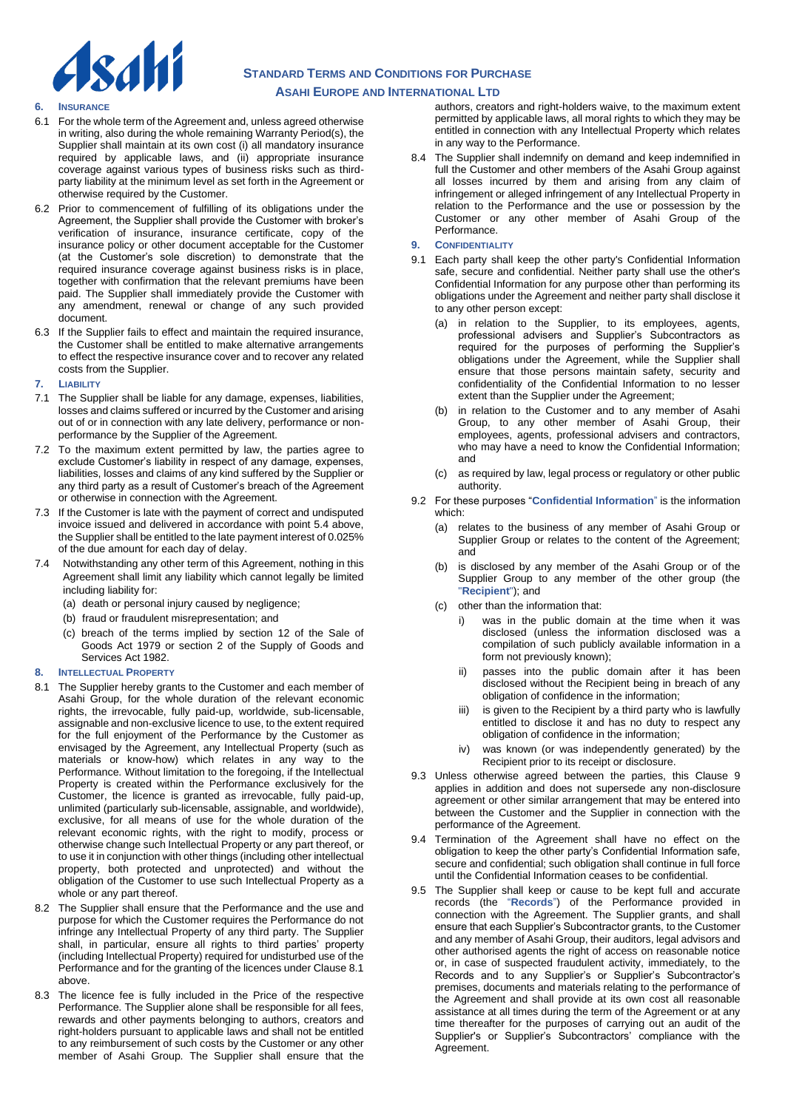

- **6. INSURANCE**
- 6.1 For the whole term of the Agreement and, unless agreed otherwise in writing, also during the whole remaining Warranty Period(s), the Supplier shall maintain at its own cost (i) all mandatory insurance required by applicable laws, and (ii) appropriate insurance coverage against various types of business risks such as thirdparty liability at the minimum level as set forth in the Agreement or otherwise required by the Customer.
- 6.2 Prior to commencement of fulfilling of its obligations under the Agreement, the Supplier shall provide the Customer with broker's verification of insurance, insurance certificate, copy of the insurance policy or other document acceptable for the Customer (at the Customer's sole discretion) to demonstrate that the required insurance coverage against business risks is in place, together with confirmation that the relevant premiums have been paid. The Supplier shall immediately provide the Customer with any amendment, renewal or change of any such provided document.
- 6.3 If the Supplier fails to effect and maintain the required insurance, the Customer shall be entitled to make alternative arrangements to effect the respective insurance cover and to recover any related costs from the Supplier.
- **7. LIABILITY**
- 7.1 The Supplier shall be liable for any damage, expenses, liabilities, losses and claims suffered or incurred by the Customer and arising out of or in connection with any late delivery, performance or nonperformance by the Supplier of the Agreement.
- 7.2 To the maximum extent permitted by law, the parties agree to exclude Customer's liability in respect of any damage, expenses, liabilities, losses and claims of any kind suffered by the Supplier or any third party as a result of Customer's breach of the Agreement or otherwise in connection with the Agreement.
- 7.3 If the Customer is late with the payment of correct and undisputed invoice issued and delivered in accordance with point 5.4 above, the Supplier shall be entitled to the late payment interest of 0.025% of the due amount for each day of delay.
- 7.4 Notwithstanding any other term of this Agreement, nothing in this Agreement shall limit any liability which cannot legally be limited including liability for:
	- (a) death or personal injury caused by negligence;
	- (b) fraud or fraudulent misrepresentation; and
	- (c) breach of the terms implied by section 12 of the Sale of Goods Act 1979 or section 2 of the Supply of Goods and Services Act 1982.
- **8. INTELLECTUAL PROPERTY**
- 8.1 The Supplier hereby grants to the Customer and each member of Asahi Group, for the whole duration of the relevant economic rights, the irrevocable, fully paid-up, worldwide, sub-licensable, assignable and non-exclusive licence to use, to the extent required for the full enjoyment of the Performance by the Customer as envisaged by the Agreement, any Intellectual Property (such as materials or know-how) which relates in any way to the Performance. Without limitation to the foregoing, if the Intellectual Property is created within the Performance exclusively for the Customer, the licence is granted as irrevocable, fully paid-up, unlimited (particularly sub-licensable, assignable, and worldwide), exclusive, for all means of use for the whole duration of the relevant economic rights, with the right to modify, process or otherwise change such Intellectual Property or any part thereof, or to use it in conjunction with other things (including other intellectual property, both protected and unprotected) and without the obligation of the Customer to use such Intellectual Property as a whole or any part thereof.
- 8.2 The Supplier shall ensure that the Performance and the use and purpose for which the Customer requires the Performance do not infringe any Intellectual Property of any third party. The Supplier shall, in particular, ensure all rights to third parties' property (including Intellectual Property) required for undisturbed use of the Performance and for the granting of the licences under Clause 8.1 above.
- 8.3 The licence fee is fully included in the Price of the respective Performance. The Supplier alone shall be responsible for all fees, rewards and other payments belonging to authors, creators and right-holders pursuant to applicable laws and shall not be entitled to any reimbursement of such costs by the Customer or any other member of Asahi Group. The Supplier shall ensure that the

authors, creators and right-holders waive, to the maximum extent permitted by applicable laws, all moral rights to which they may be entitled in connection with any Intellectual Property which relates in any way to the Performance.

- 8.4 The Supplier shall indemnify on demand and keep indemnified in full the Customer and other members of the Asahi Group against all losses incurred by them and arising from any claim of infringement or alleged infringement of any Intellectual Property in relation to the Performance and the use or possession by the Customer or any other member of Asahi Group of the Performance.
- **9. CONFIDENTIALITY**
- 9.1 Each party shall keep the other party's Confidential Information safe, secure and confidential. Neither party shall use the other's Confidential Information for any purpose other than performing its obligations under the Agreement and neither party shall disclose it to any other person except:
	- (a) in relation to the Supplier, to its employees, agents, professional advisers and Supplier's Subcontractors as required for the purposes of performing the Supplier's obligations under the Agreement, while the Supplier shall ensure that those persons maintain safety, security and confidentiality of the Confidential Information to no lesser extent than the Supplier under the Agreement;
	- (b) in relation to the Customer and to any member of Asahi Group, to any other member of Asahi Group, their employees, agents, professional advisers and contractors, who may have a need to know the Confidential Information; and
	- (c) as required by law, legal process or regulatory or other public authority.
- 9.2 For these purposes "**Confidential Information**" is the information which:
	- (a) relates to the business of any member of Asahi Group or Supplier Group or relates to the content of the Agreement; and
	- (b) is disclosed by any member of the Asahi Group or of the Supplier Group to any member of the other group (the "**Recipient**"); and
	- (c) other than the information that:
		- was in the public domain at the time when it was disclosed (unless the information disclosed was a compilation of such publicly available information in a form not previously known);
		- passes into the public domain after it has been disclosed without the Recipient being in breach of any obligation of confidence in the information;
		- iii) is given to the Recipient by a third party who is lawfully entitled to disclose it and has no duty to respect any obligation of confidence in the information;
		- iv) was known (or was independently generated) by the Recipient prior to its receipt or disclosure.
- 9.3 Unless otherwise agreed between the parties, this Clause 9 applies in addition and does not supersede any non-disclosure agreement or other similar arrangement that may be entered into between the Customer and the Supplier in connection with the performance of the Agreement.
- 9.4 Termination of the Agreement shall have no effect on the obligation to keep the other party's Confidential Information safe, secure and confidential; such obligation shall continue in full force until the Confidential Information ceases to be confidential.
- 9.5 The Supplier shall keep or cause to be kept full and accurate records (the "**Records**") of the Performance provided in connection with the Agreement. The Supplier grants, and shall ensure that each Supplier's Subcontractor grants, to the Customer and any member of Asahi Group, their auditors, legal advisors and other authorised agents the right of access on reasonable notice or, in case of suspected fraudulent activity, immediately, to the Records and to any Supplier's or Supplier's Subcontractor's premises, documents and materials relating to the performance of the Agreement and shall provide at its own cost all reasonable assistance at all times during the term of the Agreement or at any time thereafter for the purposes of carrying out an audit of the Supplier's or Supplier's Subcontractors' compliance with the Agreement.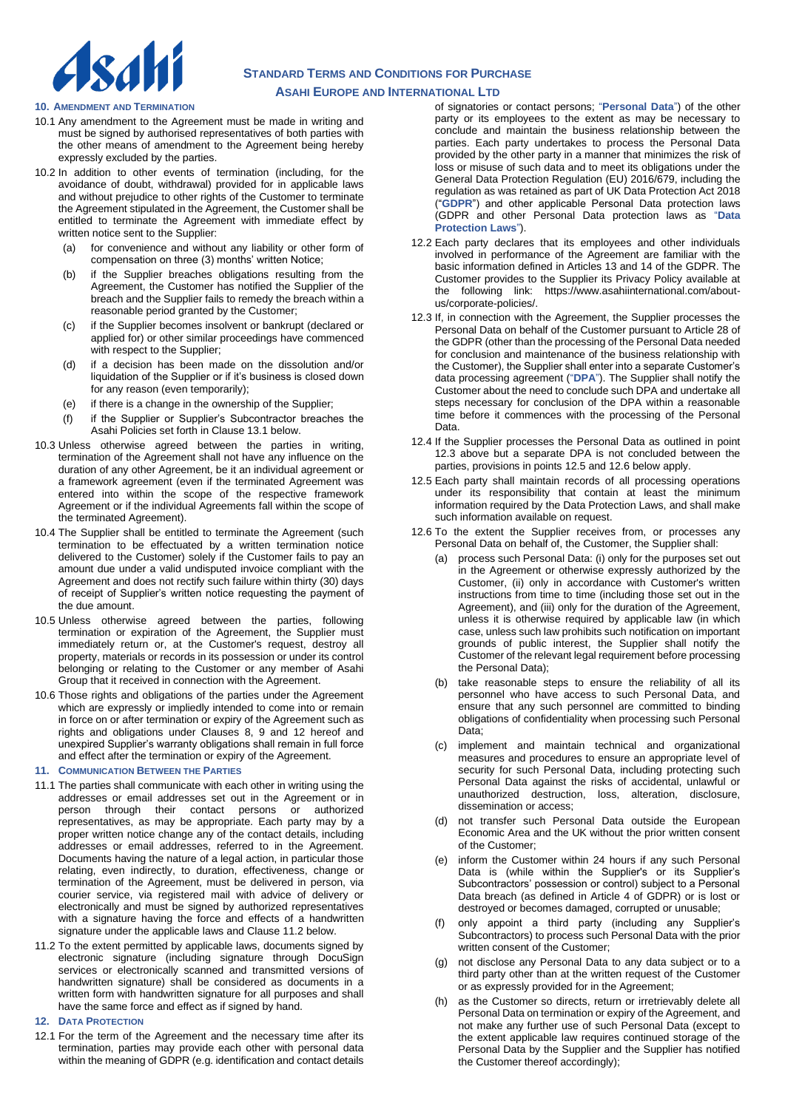

#### **10. AMENDMENT AND TERMINATION**

- 10.1 Any amendment to the Agreement must be made in writing and must be signed by authorised representatives of both parties with the other means of amendment to the Agreement being hereby expressly excluded by the parties.
- 10.2 In addition to other events of termination (including, for the avoidance of doubt, withdrawal) provided for in applicable laws and without prejudice to other rights of the Customer to terminate the Agreement stipulated in the Agreement, the Customer shall be entitled to terminate the Agreement with immediate effect by written notice sent to the Supplier:
	- (a) for convenience and without any liability or other form of compensation on three (3) months' written Notice;
	- (b) if the Supplier breaches obligations resulting from the Agreement, the Customer has notified the Supplier of the breach and the Supplier fails to remedy the breach within a reasonable period granted by the Customer;
	- (c) if the Supplier becomes insolvent or bankrupt (declared or applied for) or other similar proceedings have commenced with respect to the Supplier;
	- (d) if a decision has been made on the dissolution and/or liquidation of the Supplier or if it's business is closed down for any reason (even temporarily);
	- (e) if there is a change in the ownership of the Supplier;
	- (f) if the Supplier or Supplier's Subcontractor breaches the Asahi Policies set forth in Clause 13.1 below.
- 10.3 Unless otherwise agreed between the parties in writing, termination of the Agreement shall not have any influence on the duration of any other Agreement, be it an individual agreement or a framework agreement (even if the terminated Agreement was entered into within the scope of the respective framework Agreement or if the individual Agreements fall within the scope of the terminated Agreement).
- 10.4 The Supplier shall be entitled to terminate the Agreement (such termination to be effectuated by a written termination notice delivered to the Customer) solely if the Customer fails to pay an amount due under a valid undisputed invoice compliant with the Agreement and does not rectify such failure within thirty (30) days of receipt of Supplier's written notice requesting the payment of the due amount.
- 10.5 Unless otherwise agreed between the parties, following termination or expiration of the Agreement, the Supplier must immediately return or, at the Customer's request, destroy all property, materials or records in its possession or under its control belonging or relating to the Customer or any member of Asahi Group that it received in connection with the Agreement.
- 10.6 Those rights and obligations of the parties under the Agreement which are expressly or impliedly intended to come into or remain in force on or after termination or expiry of the Agreement such as rights and obligations under Clauses 8, 9 and 12 hereof and unexpired Supplier's warranty obligations shall remain in full force and effect after the termination or expiry of the Agreement.

#### **11. COMMUNICATION BETWEEN THE PARTIES**

- 11.1 The parties shall communicate with each other in writing using the addresses or email addresses set out in the Agreement or in person through their contact persons or authorized representatives, as may be appropriate. Each party may by a proper written notice change any of the contact details, including addresses or email addresses, referred to in the Agreement. Documents having the nature of a legal action, in particular those relating, even indirectly, to duration, effectiveness, change or termination of the Agreement, must be delivered in person, via courier service, via registered mail with advice of delivery or electronically and must be signed by authorized representatives with a signature having the force and effects of a handwritten signature under the applicable laws and Clause 11.2 below.
- 11.2 To the extent permitted by applicable laws, documents signed by electronic signature (including signature through DocuSign services or electronically scanned and transmitted versions of handwritten signature) shall be considered as documents in a written form with handwritten signature for all purposes and shall have the same force and effect as if signed by hand.

### **12. DATA PROTECTION**

12.1 For the term of the Agreement and the necessary time after its termination, parties may provide each other with personal data within the meaning of GDPR (e.g. identification and contact details

of signatories or contact persons; "**Personal Data**") of the other party or its employees to the extent as may be necessary to conclude and maintain the business relationship between the parties. Each party undertakes to process the Personal Data provided by the other party in a manner that minimizes the risk of loss or misuse of such data and to meet its obligations under the General Data Protection Regulation (EU) 2016/679, including the regulation as was retained as part of UK Data Protection Act 2018 ("**GDPR**") and other applicable Personal Data protection laws (GDPR and other Personal Data protection laws as "**Data Protection Laws**").

- 12.2 Each party declares that its employees and other individuals involved in performance of the Agreement are familiar with the basic information defined in Articles 13 and 14 of the GDPR. The Customer provides to the Supplier its Privacy Policy available at the following link: [https://www.asahiinternational.com/about](https://www.asahiinternational.com/about-us/corporate-policies/)[us/corporate-policies/.](https://www.asahiinternational.com/about-us/corporate-policies/)
- 12.3 If, in connection with the Agreement, the Supplier processes the Personal Data on behalf of the Customer pursuant to Article 28 of the GDPR (other than the processing of the Personal Data needed for conclusion and maintenance of the business relationship with the Customer), the Supplier shall enter into a separate Customer's data processing agreement ("**DPA**"). The Supplier shall notify the Customer about the need to conclude such DPA and undertake all steps necessary for conclusion of the DPA within a reasonable time before it commences with the processing of the Personal Data.
- 12.4 If the Supplier processes the Personal Data as outlined in point 12.3 above but a separate DPA is not concluded between the parties, provisions in points 12.5 and 12.6 below apply.
- 12.5 Each party shall maintain records of all processing operations under its responsibility that contain at least the minimum information required by the Data Protection Laws, and shall make such information available on request.
- 12.6 To the extent the Supplier receives from, or processes any Personal Data on behalf of, the Customer, the Supplier shall:
	- (a) process such Personal Data: (i) only for the purposes set out in the Agreement or otherwise expressly authorized by the Customer, (ii) only in accordance with Customer's written instructions from time to time (including those set out in the Agreement), and (iii) only for the duration of the Agreement, unless it is otherwise required by applicable law (in which case, unless such law prohibits such notification on important grounds of public interest, the Supplier shall notify the Customer of the relevant legal requirement before processing the Personal Data);
	- (b) take reasonable steps to ensure the reliability of all its personnel who have access to such Personal Data, and ensure that any such personnel are committed to binding obligations of confidentiality when processing such Personal Data;
	- (c) implement and maintain technical and organizational measures and procedures to ensure an appropriate level of security for such Personal Data, including protecting such Personal Data against the risks of accidental, unlawful or unauthorized destruction, loss, alteration, disclosure, dissemination or access;
	- (d) not transfer such Personal Data outside the European Economic Area and the UK without the prior written consent of the Customer;
	- inform the Customer within 24 hours if any such Personal Data is (while within the Supplier's or its Supplier's Subcontractors' possession or control) subject to a Personal Data breach (as defined in Article 4 of GDPR) or is lost or destroyed or becomes damaged, corrupted or unusable;
	- (f) only appoint a third party (including any Supplier's Subcontractors) to process such Personal Data with the prior written consent of the Customer:
	- (g) not disclose any Personal Data to any data subject or to a third party other than at the written request of the Customer or as expressly provided for in the Agreement;
	- as the Customer so directs, return or irretrievably delete all Personal Data on termination or expiry of the Agreement, and not make any further use of such Personal Data (except to the extent applicable law requires continued storage of the Personal Data by the Supplier and the Supplier has notified the Customer thereof accordingly);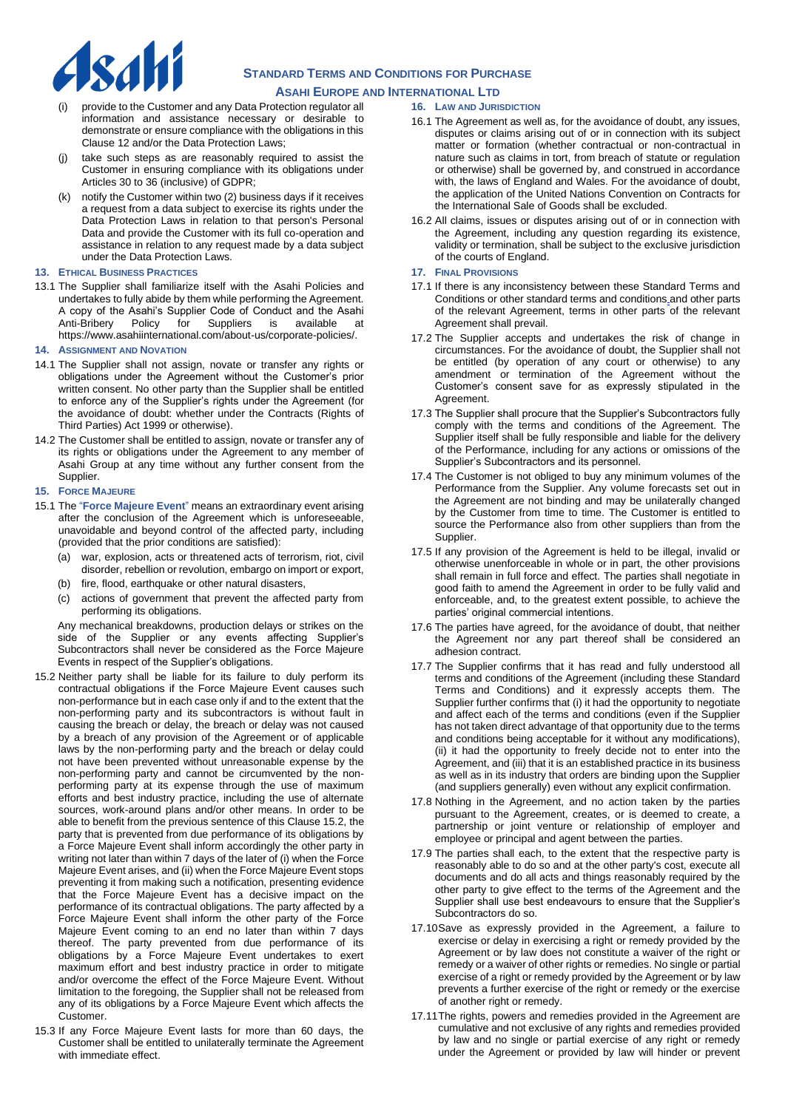

- provide to the Customer and any Data Protection regulator all information and assistance necessary or desirable to demonstrate or ensure compliance with the obligations in this Clause 12 and/or the Data Protection Laws;
- take such steps as are reasonably required to assist the Customer in ensuring compliance with its obligations under Articles 30 to 36 (inclusive) of GDPR;
- (k) notify the Customer within two (2) business days if it receives a request from a data subject to exercise its rights under the Data Protection Laws in relation to that person's Personal Data and provide the Customer with its full co-operation and assistance in relation to any request made by a data subject under the Data Protection Laws.

#### **13. ETHICAL BUSINESS PRACTICES**

13.1 The Supplier shall familiarize itself with the Asahi Policies and undertakes to fully abide by them while performing the Agreement. A copy of the Asahi's Supplier Code of Conduct and the Asahi Policy for Suppliers is available at [https://www.asahiinternational.com/about-us/corporate-policies/.](https://www.asahiinternational.com/about-us/corporate-policies/)

#### **14. ASSIGNMENT AND NOVATION**

- 14.1 The Supplier shall not assign, novate or transfer any rights or obligations under the Agreement without the Customer's prior written consent. No other party than the Supplier shall be entitled to enforce any of the Supplier's rights under the Agreement (for the avoidance of doubt: whether under the Contracts (Rights of Third Parties) Act 1999 or otherwise).
- 14.2 The Customer shall be entitled to assign, novate or transfer any of its rights or obligations under the Agreement to any member of Asahi Group at any time without any further consent from the Supplier.

#### **15. FORCE MAJEURE**

- 15.1 The "**Force Majeure Event**" means an extraordinary event arising after the conclusion of the Agreement which is unforeseeable, unavoidable and beyond control of the affected party, including (provided that the prior conditions are satisfied):
	- (a) war, explosion, acts or threatened acts of terrorism, riot, civil disorder, rebellion or revolution, embargo on import or export,
	- (b) fire, flood, earthquake or other natural disasters,
	- (c) actions of government that prevent the affected party from performing its obligations.

Any mechanical breakdowns, production delays or strikes on the side of the Supplier or any events affecting Supplier's Subcontractors shall never be considered as the Force Majeure Events in respect of the Supplier's obligations.

- 15.2 Neither party shall be liable for its failure to duly perform its contractual obligations if the Force Majeure Event causes such non-performance but in each case only if and to the extent that the non-performing party and its subcontractors is without fault in causing the breach or delay, the breach or delay was not caused by a breach of any provision of the Agreement or of applicable laws by the non-performing party and the breach or delay could not have been prevented without unreasonable expense by the non-performing party and cannot be circumvented by the nonperforming party at its expense through the use of maximum efforts and best industry practice, including the use of alternate sources, work-around plans and/or other means. In order to be able to benefit from the previous sentence of this Clause 15.2, the party that is prevented from due performance of its obligations by a Force Majeure Event shall inform accordingly the other party in writing not later than within 7 days of the later of (i) when the Force Majeure Event arises, and (ii) when the Force Majeure Event stops preventing it from making such a notification, presenting evidence that the Force Majeure Event has a decisive impact on the performance of its contractual obligations. The party affected by a Force Majeure Event shall inform the other party of the Force Majeure Event coming to an end no later than within 7 days thereof. The party prevented from due performance of its obligations by a Force Majeure Event undertakes to exert maximum effort and best industry practice in order to mitigate and/or overcome the effect of the Force Majeure Event. Without limitation to the foregoing, the Supplier shall not be released from any of its obligations by a Force Majeure Event which affects the Customer.
- 15.3 If any Force Majeure Event lasts for more than 60 days, the Customer shall be entitled to unilaterally terminate the Agreement with immediate effect.

### **16. LAW AND JURISDICTION**

- 16.1 The Agreement as well as, for the avoidance of doubt, any issues, disputes or claims arising out of or in connection with its subject matter or formation (whether contractual or non-contractual in nature such as claims in tort, from breach of statute or regulation or otherwise) shall be governed by, and construed in accordance with, the laws of England and Wales. For the avoidance of doubt, the application of the United Nations Convention on Contracts for the International Sale of Goods shall be excluded.
- 16.2 All claims, issues or disputes arising out of or in connection with the Agreement, including any question regarding its existence, validity or termination, shall be subject to the exclusive jurisdiction of the courts of England.

### **17. FINAL PROVISIONS**

- 17.1 If there is any inconsistency between these Standard Terms and Conditions or other standard terms and conditions and other parts of the relevant Agreement, terms in other parts of the relevant Agreement shall prevail.
- 17.2 The Supplier accepts and undertakes the risk of change in circumstances. For the avoidance of doubt, the Supplier shall not be entitled (by operation of any court or otherwise) to any amendment or termination of the Agreement without the Customer's consent save for as expressly stipulated in the Agreement.
- 17.3 The Supplier shall procure that the Supplier's Subcontractors fully comply with the terms and conditions of the Agreement. The Supplier itself shall be fully responsible and liable for the delivery of the Performance, including for any actions or omissions of the Supplier's Subcontractors and its personnel.
- 17.4 The Customer is not obliged to buy any minimum volumes of the Performance from the Supplier. Any volume forecasts set out in the Agreement are not binding and may be unilaterally changed by the Customer from time to time. The Customer is entitled to source the Performance also from other suppliers than from the Supplier.
- 17.5 If any provision of the Agreement is held to be illegal, invalid or otherwise unenforceable in whole or in part, the other provisions shall remain in full force and effect. The parties shall negotiate in good faith to amend the Agreement in order to be fully valid and enforceable, and, to the greatest extent possible, to achieve the parties' original commercial intentions.
- 17.6 The parties have agreed, for the avoidance of doubt, that neither the Agreement nor any part thereof shall be considered an adhesion contract.
- 17.7 The Supplier confirms that it has read and fully understood all terms and conditions of the Agreement (including these Standard Terms and Conditions) and it expressly accepts them. The Supplier further confirms that (i) it had the opportunity to negotiate and affect each of the terms and conditions (even if the Supplier has not taken direct advantage of that opportunity due to the terms and conditions being acceptable for it without any modifications), (ii) it had the opportunity to freely decide not to enter into the Agreement, and (iii) that it is an established practice in its business as well as in its industry that orders are binding upon the Supplier (and suppliers generally) even without any explicit confirmation.
- 17.8 Nothing in the Agreement, and no action taken by the parties pursuant to the Agreement, creates, or is deemed to create, a partnership or joint venture or relationship of employer and employee or principal and agent between the parties.
- 17.9 The parties shall each, to the extent that the respective party is reasonably able to do so and at the other party's cost, execute all documents and do all acts and things reasonably required by the other party to give effect to the terms of the Agreement and the Supplier shall use best endeavours to ensure that the Supplier's Subcontractors do so.
- 17.10Save as expressly provided in the Agreement, a failure to exercise or delay in exercising a right or remedy provided by the Agreement or by law does not constitute a waiver of the right or remedy or a waiver of other rights or remedies. No single or partial exercise of a right or remedy provided by the Agreement or by law prevents a further exercise of the right or remedy or the exercise of another right or remedy.
- 17.11The rights, powers and remedies provided in the Agreement are cumulative and not exclusive of any rights and remedies provided by law and no single or partial exercise of any right or remedy under the Agreement or provided by law will hinder or prevent